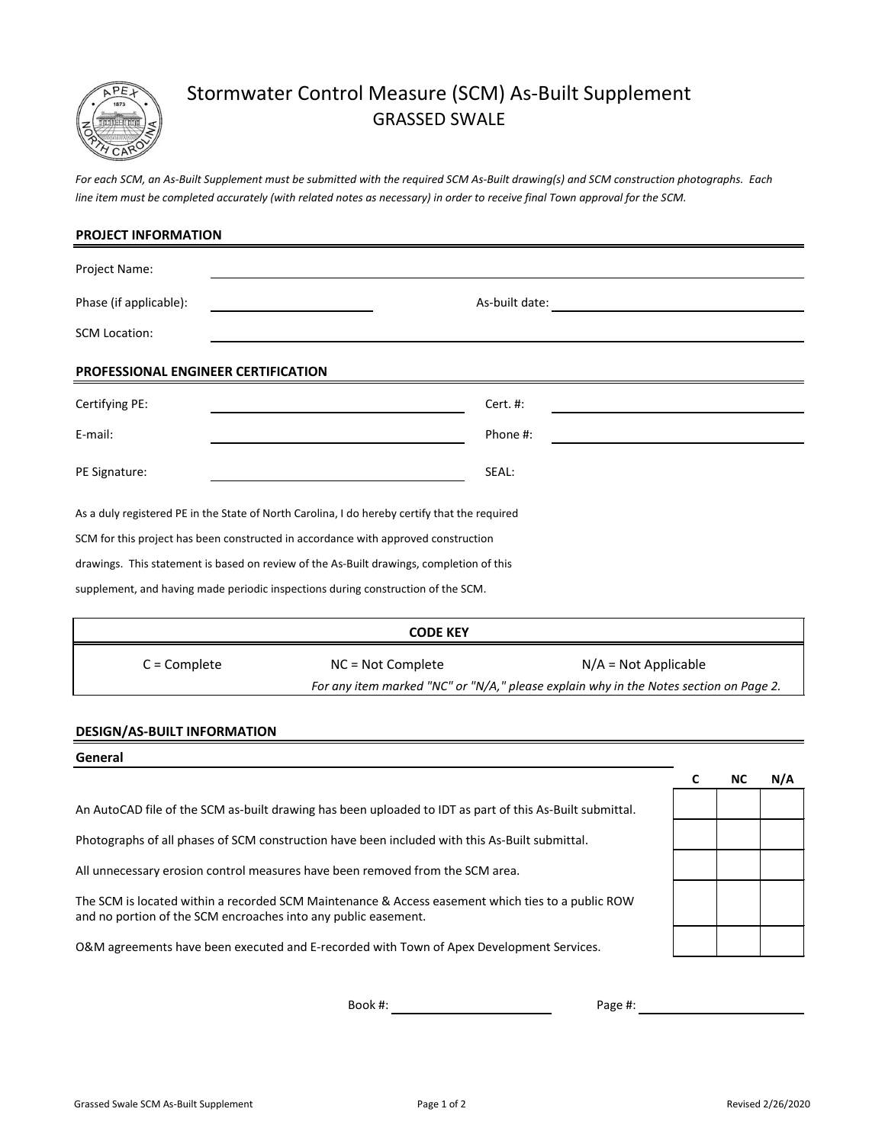

# Stormwater Control Measure (SCM) As-Built Supplement GRASSED SWALE

*For each SCM, an As-Built Supplement must be submitted with the required SCM As-Built drawing(s) and SCM construction photographs. Each line item must be completed accurately (with related notes as necessary) in order to receive final Town approval for the SCM.*

| <b>PROJECT INFORMATION</b>                                                                    |                                             |  |  |  |  |  |  |
|-----------------------------------------------------------------------------------------------|---------------------------------------------|--|--|--|--|--|--|
| Project Name:                                                                                 |                                             |  |  |  |  |  |  |
| Phase (if applicable):                                                                        | As-built date:                              |  |  |  |  |  |  |
| <b>SCM Location:</b>                                                                          |                                             |  |  |  |  |  |  |
| PROFESSIONAL ENGINEER CERTIFICATION                                                           |                                             |  |  |  |  |  |  |
| Certifying PE:                                                                                | Cert. #:                                    |  |  |  |  |  |  |
| E-mail:                                                                                       | Phone #:                                    |  |  |  |  |  |  |
| PE Signature:                                                                                 | SEAL:                                       |  |  |  |  |  |  |
| As a duly registered PE in the State of North Carolina, I do hereby certify that the required |                                             |  |  |  |  |  |  |
| SCM for this project has been constructed in accordance with approved construction            |                                             |  |  |  |  |  |  |
| drawings. This statement is based on review of the As-Built drawings, completion of this      |                                             |  |  |  |  |  |  |
| supplement, and having made periodic inspections during construction of the SCM.              |                                             |  |  |  |  |  |  |
| <b>CODE KEY</b>                                                                               |                                             |  |  |  |  |  |  |
| $C =$ Complete                                                                                | $N/A = Not Applicable$<br>NC = Not Complete |  |  |  |  |  |  |
| For any item marked "NC" or "N/A," please explain why in the Notes section on Page 2.         |                                             |  |  |  |  |  |  |

## **DESIGN/AS-BUILT INFORMATION**

| General                                                                                                                                                             |  |           |     |
|---------------------------------------------------------------------------------------------------------------------------------------------------------------------|--|-----------|-----|
|                                                                                                                                                                     |  | <b>NC</b> | N/A |
| An AutoCAD file of the SCM as-built drawing has been uploaded to IDT as part of this As-Built submittal.                                                            |  |           |     |
| Photographs of all phases of SCM construction have been included with this As-Built submittal.                                                                      |  |           |     |
| All unnecessary erosion control measures have been removed from the SCM area.                                                                                       |  |           |     |
| The SCM is located within a recorded SCM Maintenance & Access easement which ties to a public ROW<br>and no portion of the SCM encroaches into any public easement. |  |           |     |
| O&M agreements have been executed and E-recorded with Town of Apex Development Services.                                                                            |  |           |     |

Book #:

Page #: